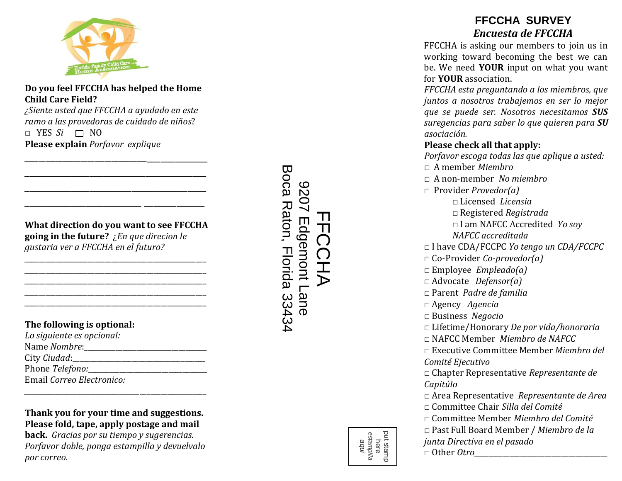

### **Do you feel FFCCHA has helped the Home Child Care Field?**

*¿Siente usted que FFCCHA a ayudado en este ramo a las provedoras de cuidado de niños*?  $\Box$  YES *Si*  $\Box$  NO **Please explain** *Porfavor explique*

\_\_\_\_\_\_\_\_\_\_\_\_\_\_\_\_\_\_\_\_\_\_\_\_\_\_\_\_\_\_\_\_\_\_\_\_\_\_\_\_\_\_\_\_\_\_\_\_ \_\_\_\_\_\_\_\_\_\_\_\_\_\_\_\_\_\_\_\_\_\_\_\_\_\_\_\_\_\_\_\_\_\_\_\_\_\_\_ \_\_\_\_\_\_\_\_\_\_\_\_\_\_\_\_\_\_\_\_\_\_\_\_\_\_\_\_\_\_\_\_\_\_\_\_\_\_\_ \_\_\_\_\_\_\_\_\_\_\_\_\_\_\_\_\_\_\_\_\_\_\_\_\_ \_\_\_\_\_\_\_\_\_\_\_\_\_

### **What direction do you want to see FFCCHA going in the future?** ¿*En que direcion le gustaria ver a FFCCHA en el futuro?*

\_\_\_\_\_\_\_\_\_\_\_\_\_\_\_\_\_\_\_\_\_\_\_\_\_\_\_\_\_\_\_\_\_\_\_\_\_\_\_\_\_\_\_\_\_\_\_\_\_\_\_\_ \_\_\_\_\_\_\_\_\_\_\_\_\_\_\_\_\_\_\_\_\_\_\_\_\_\_\_\_\_\_\_\_\_\_\_\_\_\_\_\_\_\_\_\_\_\_\_\_\_\_\_\_ \_\_\_\_\_\_\_\_\_\_\_\_\_\_\_\_\_\_\_\_\_\_\_\_\_\_\_\_\_\_\_\_\_\_\_\_\_\_\_\_\_\_\_\_\_\_\_\_\_\_\_\_ \_\_\_\_\_\_\_\_\_\_\_\_\_\_\_\_\_\_\_\_\_\_\_\_\_\_\_\_\_\_\_\_\_\_\_\_\_\_\_\_\_\_\_\_\_\_\_\_\_\_\_\_ \_\_\_\_\_\_\_\_\_\_\_\_\_\_\_\_\_\_\_\_\_\_\_\_\_\_\_\_\_\_\_\_\_\_\_\_\_\_\_\_\_\_\_\_\_\_\_\_\_\_\_\_

### **The following is optional:**

| Lo siguiente es opcional: |
|---------------------------|
| Name Nombre:              |
| City Ciudad:              |
| Phone Telefono:____       |
| Email Correo Electronico: |

### **Thank you for your time and suggestions. Please fold, tape, apply postage and mail**

*\_\_\_\_\_\_\_\_\_\_\_\_\_\_\_\_\_\_\_\_\_\_\_\_\_\_\_\_\_\_\_\_\_*\_\_\_\_\_\_\_\_\_\_\_\_\_\_\_\_\_\_\_

**back.** *Gracias por su tiempo y sugerencias. Porfavor doble, ponga estampilla y devuelvalo por correo.* 

Boca Raton, Florida 33434 Boca Raton, Florida 33434 2026 9207 Edgemont Lane FFCCHA Edgemont Lane T  $\mathbb{\overline{T}}$  $\overline{O}$  $\bigcap$ 

# **FFCCHA SURVEY**  *Encuesta de FFCCHA*

FFCCHA is asking our members to join us in working toward becoming the best we can be. We need **YOUR** input on what you want for **YOUR** association.

*FFCCHA esta preguntando a los miembros, que juntos a nosotros trabajemos en ser lo mejor que se puede ser. Nosotros necesitamos SUS suregencias para saber lo que quieren para SU asociación.*

## **Please check all that apply:**

*Porfavor escoga todas las que aplique a usted:* □ A member *Miembro* □ A non-member *No miembro* □ Provider *Provedor(a)* □ Licensed *Licensia* □ Registered *Registrada* □ I am NAFCC Accredited *Yo soy NAFCC accreditada*  □ I have CDA/FCCPC *Yo tengo un CDA/FCCPC* □ Co-Provider *Co-provedor(a)* □ Employee *Empleado(a)* □ Advocate *Defensor(a)* □ Parent *Padre de familia* □ Agency *Agencia* □ Business *Negocio* □ Lifetime/Honorary *De por vida/honoraria* □ NAFCC Member *Miembro de NAFCC* □ Executive Committee Member *Miembro del Comité Ejecutivo* □ Chapter Representative *Representante de Capitúlo* □ Area Representative *Representante de Area* □ Committee Chair *Silla del Comité* □ Committee Member *Miembro del Comité* □ Past Full Board Member / *Miembro de la junta Directiva en el pasado* □ Other *Otro*